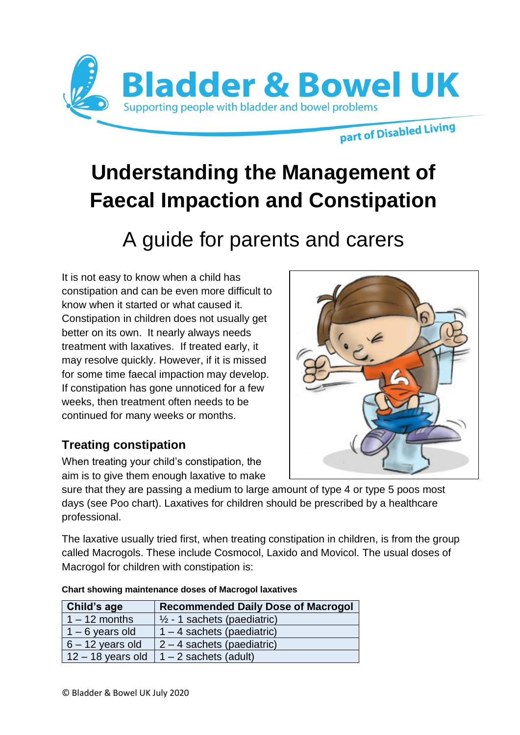

# **Understanding the Management of Faecal Impaction and Constipation**

# A guide for parents and carers

It is not easy to know when a child has constipation and can be even more difficult to know when it started or what caused it. Constipation in children does not usually get better on its own. It nearly always needs treatment with laxatives. If treated early, it may resolve quickly. However, if it is missed for some time faecal impaction may develop. If constipation has gone unnoticed for a few weeks, then treatment often needs to be continued for many weeks or months.

# **Treating constipation**

When treating your child's constipation, the aim is to give them enough laxative to make

sure that they are passing a medium to large amount of type 4 or type 5 poos most days (see Poo chart). Laxatives for children should be prescribed by a healthcare professional.

The laxative usually tried first, when treating constipation in children, is from the group called Macrogols. These include Cosmocol, Laxido and Movicol. The usual doses of Macrogol for children with constipation is:

| <b>Child's age</b>  | <b>Recommended Daily Dose of Macrogol</b> |
|---------------------|-------------------------------------------|
| $1 - 12$ months     | $\frac{1}{2}$ - 1 sachets (paediatric)    |
| $1 - 6$ years old   | $1 - 4$ sachets (paediatric)              |
| $6 - 12$ years old  | $2 - 4$ sachets (paediatric)              |
| $12 - 18$ years old | $ 1 - 2$ sachets (adult)                  |

| <b>Chart showing maintenance doses of Macrogol laxatives</b> |  |  |  |
|--------------------------------------------------------------|--|--|--|
|--------------------------------------------------------------|--|--|--|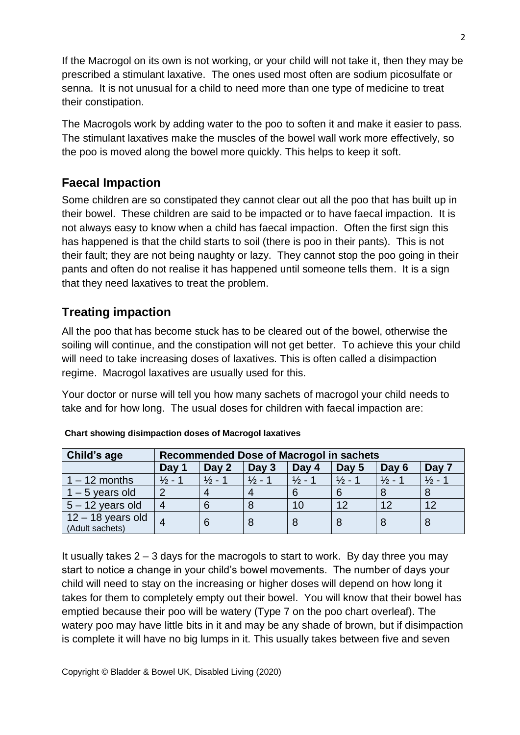If the Macrogol on its own is not working, or your child will not take it, then they may be prescribed a stimulant laxative. The ones used most often are sodium picosulfate or senna. It is not unusual for a child to need more than one type of medicine to treat their constipation.

The Macrogols work by adding water to the poo to soften it and make it easier to pass. The stimulant laxatives make the muscles of the bowel wall work more effectively, so the poo is moved along the bowel more quickly. This helps to keep it soft.

## **Faecal Impaction**

Some children are so constipated they cannot clear out all the poo that has built up in their bowel. These children are said to be impacted or to have faecal impaction. It is not always easy to know when a child has faecal impaction. Often the first sign this has happened is that the child starts to soil (there is poo in their pants). This is not their fault; they are not being naughty or lazy. They cannot stop the poo going in their pants and often do not realise it has happened until someone tells them. It is a sign that they need laxatives to treat the problem.

## **Treating impaction**

All the poo that has become stuck has to be cleared out of the bowel, otherwise the soiling will continue, and the constipation will not get better. To achieve this your child will need to take increasing doses of laxatives. This is often called a disimpaction regime. Macrogol laxatives are usually used for this.

Your doctor or nurse will tell you how many sachets of macrogol your child needs to take and for how long. The usual doses for children with faecal impaction are:

| Child's age                            | <b>Recommended Dose of Macrogol in sachets</b> |         |                 |                               |                   |                 |                 |
|----------------------------------------|------------------------------------------------|---------|-----------------|-------------------------------|-------------------|-----------------|-----------------|
|                                        | Day 1                                          | Day 2   | Day 3           | Day 4                         | Day 5             | Day 6           | Day             |
| $1 - 12$ months                        | $\frac{1}{2}$ - $\frac{1}{2}$                  | 1⁄2 - 1 | $\frac{1}{2}$ - | $\frac{1}{2}$ - $\frac{1}{2}$ | $\frac{1}{2}$ - 1 | $\frac{1}{2}$ - | $\frac{1}{2}$ - |
| $1 - 5$ years old                      |                                                |         |                 |                               | 6                 |                 |                 |
| $5 - 12$ years old                     | 4                                              |         |                 | 10                            | 12                | 12              | 12              |
| $12 - 18$ years old<br>(Adult sachets) |                                                |         |                 |                               |                   |                 | 8               |

| <b>Chart showing disimpaction doses of Macrogol laxatives</b> |  |  |
|---------------------------------------------------------------|--|--|
|                                                               |  |  |

It usually takes  $2 - 3$  days for the macrogols to start to work. By day three you may start to notice a change in your child's bowel movements. The number of days your child will need to stay on the increasing or higher doses will depend on how long it takes for them to completely empty out their bowel. You will know that their bowel has emptied because their poo will be watery (Type 7 on the poo chart overleaf). The watery poo may have little bits in it and may be any shade of brown, but if disimpaction is complete it will have no big lumps in it. This usually takes between five and seven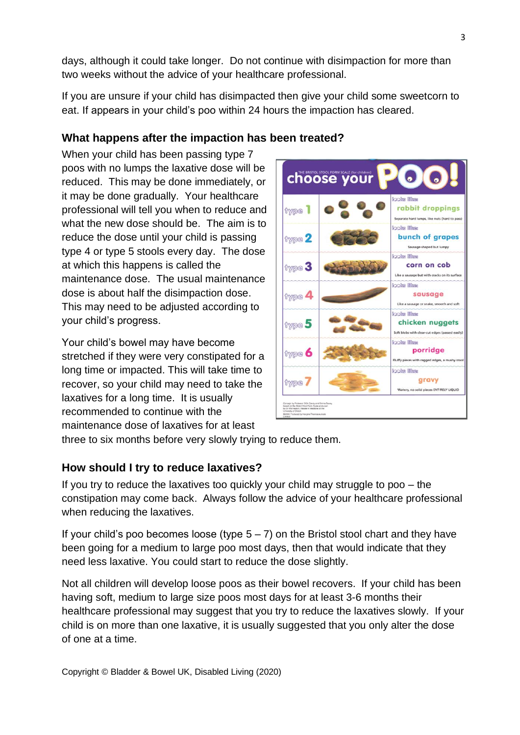days, although it could take longer. Do not continue with disimpaction for more than two weeks without the advice of your healthcare professional.

If you are unsure if your child has disimpacted then give your child some sweetcorn to eat. If appears in your child's poo within 24 hours the impaction has cleared.

### **What happens after the impaction has been treated?**

When your child has been passing type 7 poos with no lumps the laxative dose will be reduced. This may be done immediately, or it may be done gradually. Your healthcare professional will tell you when to reduce and what the new dose should be. The aim is to reduce the dose until your child is passing type 4 or type 5 stools every day. The dose at which this happens is called the maintenance dose. The usual maintenance dose is about half the disimpaction dose. This may need to be adjusted according to your child's progress.

Your child's bowel may have become stretched if they were very constipated for a long time or impacted. This will take time to recover, so your child may need to take the laxatives for a long time. It is usually recommended to continue with the maintenance dose of laxatives for at least



three to six months before very slowly trying to reduce them.

#### **How should I try to reduce laxatives?**

If you try to reduce the laxatives too quickly your child may struggle to poo – the constipation may come back. Always follow the advice of your healthcare professional when reducing the laxatives.

If your child's poo becomes loose (type  $5 - 7$ ) on the Bristol stool chart and they have been going for a medium to large poo most days, then that would indicate that they need less laxative. You could start to reduce the dose slightly.

Not all children will develop loose poos as their bowel recovers. If your child has been having soft, medium to large size poos most days for at least 3-6 months their healthcare professional may suggest that you try to reduce the laxatives slowly. If your child is on more than one laxative, it is usually suggested that you only alter the dose of one at a time.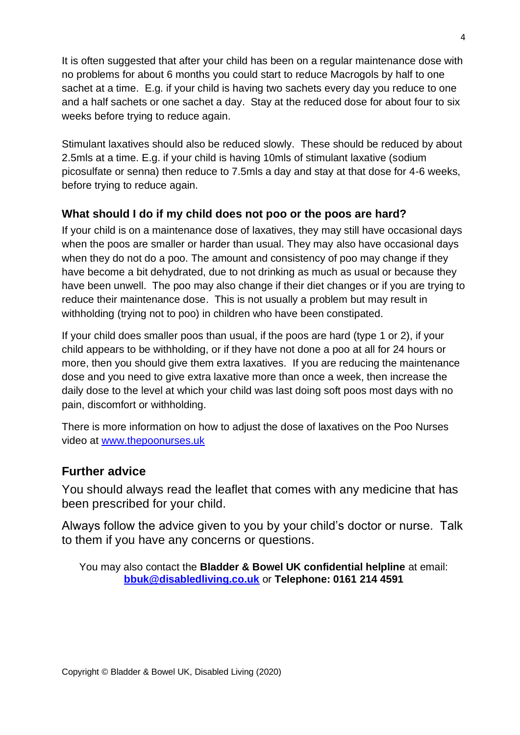It is often suggested that after your child has been on a regular maintenance dose with no problems for about 6 months you could start to reduce Macrogols by half to one sachet at a time. E.g. if your child is having two sachets every day you reduce to one and a half sachets or one sachet a day. Stay at the reduced dose for about four to six weeks before trying to reduce again.

Stimulant laxatives should also be reduced slowly. These should be reduced by about 2.5mls at a time. E.g. if your child is having 10mls of stimulant laxative (sodium picosulfate or senna) then reduce to 7.5mls a day and stay at that dose for 4-6 weeks, before trying to reduce again.

#### **What should I do if my child does not poo or the poos are hard?**

If your child is on a maintenance dose of laxatives, they may still have occasional days when the poos are smaller or harder than usual. They may also have occasional days when they do not do a poo. The amount and consistency of poo may change if they have become a bit dehydrated, due to not drinking as much as usual or because they have been unwell. The poo may also change if their diet changes or if you are trying to reduce their maintenance dose. This is not usually a problem but may result in withholding (trying not to poo) in children who have been constipated.

If your child does smaller poos than usual, if the poos are hard (type 1 or 2), if your child appears to be withholding, or if they have not done a poo at all for 24 hours or more, then you should give them extra laxatives. If you are reducing the maintenance dose and you need to give extra laxative more than once a week, then increase the daily dose to the level at which your child was last doing soft poos most days with no pain, discomfort or withholding.

There is more information on how to adjust the dose of laxatives on the Poo Nurses video at [www.thepoonurses.uk](http://www.thepoonurses.uk/)

#### **Further advice**

You should always read the leaflet that comes with any medicine that has been prescribed for your child.

Always follow the advice given to you by your child's doctor or nurse. Talk to them if you have any concerns or questions.

You may also contact the **Bladder & Bowel UK confidential helpline** at email: **[bbuk@disabledliving.co.uk](mailto:bbuk@disabledliving.co.uk)** or **Telephone: 0161 214 4591**